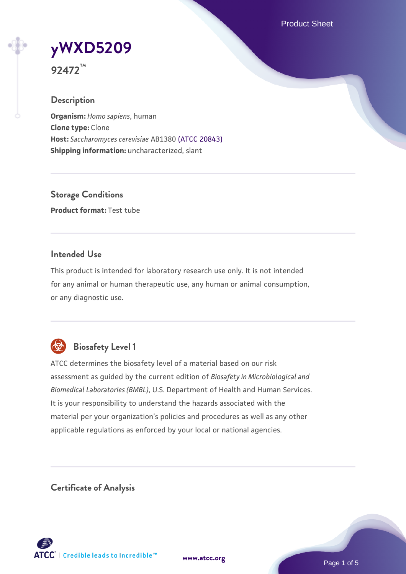Product Sheet

# **[yWXD5209](https://www.atcc.org/products/92472)**

**92472™**

# **Description**

**Organism:** *Homo sapiens*, human **Clone type:** Clone **Host:** *Saccharomyces cerevisiae* AB1380 [\(ATCC 20843\)](https://www.atcc.org/products/20843) **Shipping information:** uncharacterized, slant

**Storage Conditions Product format:** Test tube

# **Intended Use**

This product is intended for laboratory research use only. It is not intended for any animal or human therapeutic use, any human or animal consumption, or any diagnostic use.



# **Biosafety Level 1**

ATCC determines the biosafety level of a material based on our risk assessment as guided by the current edition of *Biosafety in Microbiological and Biomedical Laboratories (BMBL)*, U.S. Department of Health and Human Services. It is your responsibility to understand the hazards associated with the material per your organization's policies and procedures as well as any other applicable regulations as enforced by your local or national agencies.

**Certificate of Analysis**

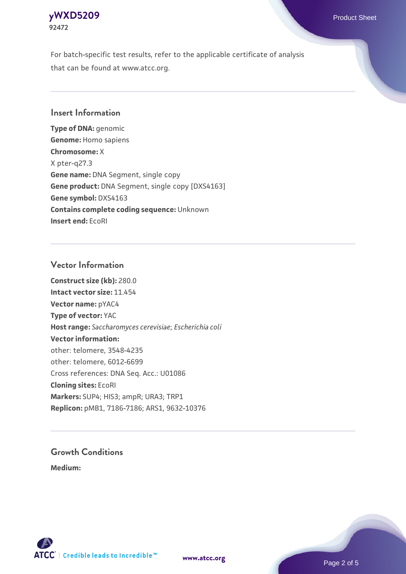# **[yWXD5209](https://www.atcc.org/products/92472)** Product Sheet **92472**

For batch-specific test results, refer to the applicable certificate of analysis that can be found at www.atcc.org.

# **Insert Information**

**Type of DNA:** genomic **Genome:** Homo sapiens **Chromosome:** X X pter-q27.3 **Gene name:** DNA Segment, single copy **Gene product:** DNA Segment, single copy [DXS4163] **Gene symbol:** DXS4163 **Contains complete coding sequence:** Unknown **Insert end:** EcoRI

# **Vector Information**

**Construct size (kb):** 280.0 **Intact vector size:** 11.454 **Vector name:** pYAC4 **Type of vector:** YAC **Host range:** *Saccharomyces cerevisiae*; *Escherichia coli* **Vector information:** other: telomere, 3548-4235 other: telomere, 6012-6699 Cross references: DNA Seq. Acc.: U01086 **Cloning sites:** EcoRI **Markers:** SUP4; HIS3; ampR; URA3; TRP1 **Replicon:** pMB1, 7186-7186; ARS1, 9632-10376

# **Growth Conditions**

**Medium:** 



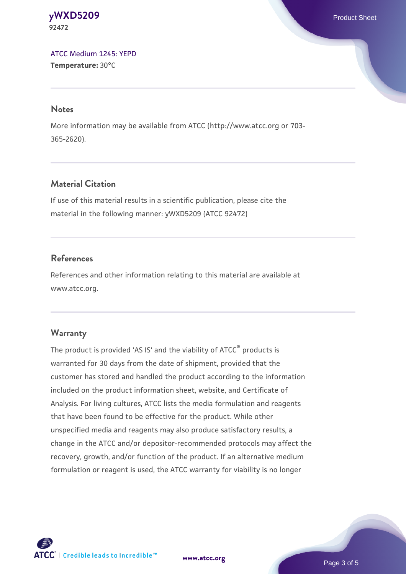#### **[yWXD5209](https://www.atcc.org/products/92472)** Product Sheet **92472**

[ATCC Medium 1245: YEPD](https://www.atcc.org/-/media/product-assets/documents/microbial-media-formulations/1/2/4/5/atcc-medium-1245.pdf?rev=705ca55d1b6f490a808a965d5c072196) **Temperature:** 30°C

#### **Notes**

More information may be available from ATCC (http://www.atcc.org or 703- 365-2620).

# **Material Citation**

If use of this material results in a scientific publication, please cite the material in the following manner: yWXD5209 (ATCC 92472)

# **References**

References and other information relating to this material are available at www.atcc.org.

# **Warranty**

The product is provided 'AS IS' and the viability of ATCC® products is warranted for 30 days from the date of shipment, provided that the customer has stored and handled the product according to the information included on the product information sheet, website, and Certificate of Analysis. For living cultures, ATCC lists the media formulation and reagents that have been found to be effective for the product. While other unspecified media and reagents may also produce satisfactory results, a change in the ATCC and/or depositor-recommended protocols may affect the recovery, growth, and/or function of the product. If an alternative medium formulation or reagent is used, the ATCC warranty for viability is no longer



**[www.atcc.org](http://www.atcc.org)**

Page 3 of 5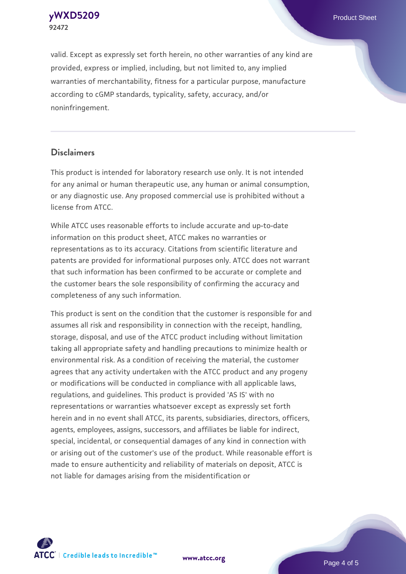**[yWXD5209](https://www.atcc.org/products/92472)** Product Sheet **92472**

valid. Except as expressly set forth herein, no other warranties of any kind are provided, express or implied, including, but not limited to, any implied warranties of merchantability, fitness for a particular purpose, manufacture according to cGMP standards, typicality, safety, accuracy, and/or noninfringement.

#### **Disclaimers**

This product is intended for laboratory research use only. It is not intended for any animal or human therapeutic use, any human or animal consumption, or any diagnostic use. Any proposed commercial use is prohibited without a license from ATCC.

While ATCC uses reasonable efforts to include accurate and up-to-date information on this product sheet, ATCC makes no warranties or representations as to its accuracy. Citations from scientific literature and patents are provided for informational purposes only. ATCC does not warrant that such information has been confirmed to be accurate or complete and the customer bears the sole responsibility of confirming the accuracy and completeness of any such information.

This product is sent on the condition that the customer is responsible for and assumes all risk and responsibility in connection with the receipt, handling, storage, disposal, and use of the ATCC product including without limitation taking all appropriate safety and handling precautions to minimize health or environmental risk. As a condition of receiving the material, the customer agrees that any activity undertaken with the ATCC product and any progeny or modifications will be conducted in compliance with all applicable laws, regulations, and guidelines. This product is provided 'AS IS' with no representations or warranties whatsoever except as expressly set forth herein and in no event shall ATCC, its parents, subsidiaries, directors, officers, agents, employees, assigns, successors, and affiliates be liable for indirect, special, incidental, or consequential damages of any kind in connection with or arising out of the customer's use of the product. While reasonable effort is made to ensure authenticity and reliability of materials on deposit, ATCC is not liable for damages arising from the misidentification or



**[www.atcc.org](http://www.atcc.org)**

Page 4 of 5